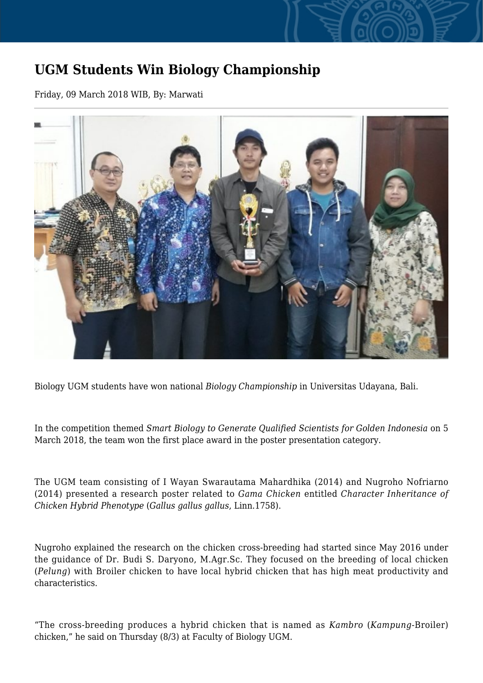## **UGM Students Win Biology Championship**

Friday, 09 March 2018 WIB, By: Marwati



Biology UGM students have won national *Biology Championship* in Universitas Udayana, Bali.

In the competition themed *Smart Biology to Generate Qualified Scientists for Golden Indonesia* on 5 March 2018, the team won the first place award in the poster presentation category.

The UGM team consisting of I Wayan Swarautama Mahardhika (2014) and Nugroho Nofriarno (2014) presented a research poster related to *Gama Chicken* entitled *Character Inheritance of Chicken Hybrid Phenotype* (*Gallus gallus gallus*, Linn.1758).

Nugroho explained the research on the chicken cross-breeding had started since May 2016 under the guidance of Dr. Budi S. Daryono, M.Agr.Sc. They focused on the breeding of local chicken (*Pelung*) with Broiler chicken to have local hybrid chicken that has high meat productivity and characteristics.

"The cross-breeding produces a hybrid chicken that is named as *Kambro* (*Kampung*-Broiler) chicken," he said on Thursday (8/3) at Faculty of Biology UGM.